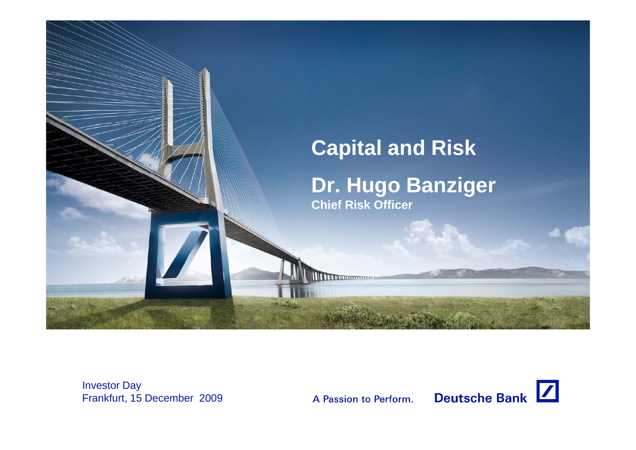

Investor Day Frankfurt, 15 December 2009

A Passion to Perform.

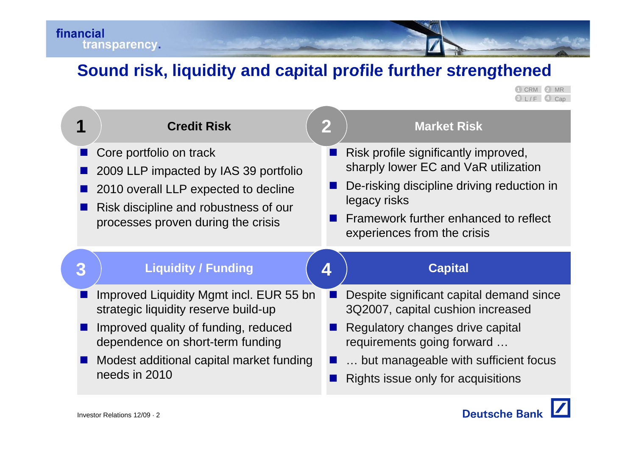# **Sound risk liquidity and capital profile further strengthened risk,**

**4 3** L / F Cap **1 2** 2 MR

|   | <b>Credit Risk</b>                                                              | $\mathbf 2$ | <b>Market Risk</b>                                                            |
|---|---------------------------------------------------------------------------------|-------------|-------------------------------------------------------------------------------|
|   | Core portfolio on track<br>2009 LLP impacted by IAS 39 portfolio                |             | Risk profile significantly improved,<br>sharply lower EC and VaR utilization  |
|   | 2010 overall LLP expected to decline<br>Risk discipline and robustness of our   |             | De-risking discipline driving reduction in<br>legacy risks                    |
|   | processes proven during the crisis                                              |             | Framework further enhanced to reflect<br>experiences from the crisis          |
|   |                                                                                 |             |                                                                               |
| 3 | <b>Liquidity / Funding</b>                                                      | 4           | <b>Capital</b>                                                                |
|   | Improved Liquidity Mgmt incl. EUR 55 bn<br>strategic liquidity reserve build-up |             | Despite significant capital demand since<br>3Q2007, capital cushion increased |
|   | Improved quality of funding, reduced<br>dependence on short-term funding        |             | Regulatory changes drive capital<br>requirements going forward                |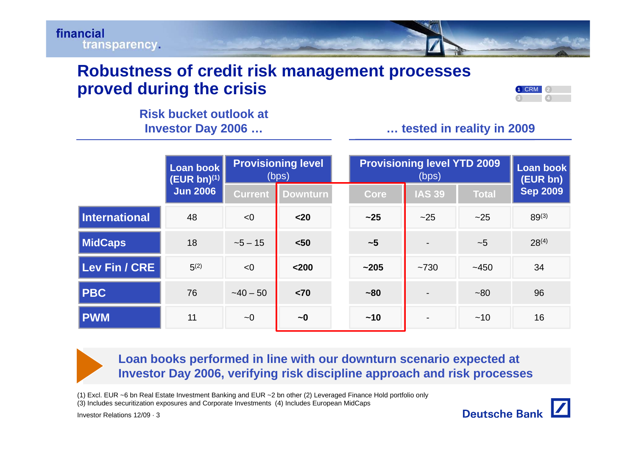

## **Robustness of credit risk management processes proved during the crisis**

| ÷ |  |
|---|--|
|   |  |

# **Risk bucket outlook at**

## **Investor Day 2006 … … tested in reality in 2009**

|                      | Loan book<br>$(EUR bn)^{(1)}$ |                | <b>Provisioning level</b><br>(bps) |           | <b>Provisioning level YTD 2009</b><br>(bps) |              | Loan book<br>(EUR bn) |
|----------------------|-------------------------------|----------------|------------------------------------|-----------|---------------------------------------------|--------------|-----------------------|
|                      | <b>Jun 2006</b>               | <b>Current</b> | <b>Downturn</b>                    | Core      | <b>IAS 39</b>                               | <b>Total</b> | <b>Sep 2009</b>       |
| <b>International</b> | 48                            | < 0            | $20$                               | $~1$ 25   | ~25                                         | ~25          | $89^{(3)}$            |
| <b>MidCaps</b>       | 18                            | $-5 - 15$      | $50$                               | ~1        |                                             | ~1           | $28^{(4)}$            |
| Lev Fin / CRE        | $5^{(2)}$                     | < 0            | $200$                              | $~1$ -205 | ~1730                                       | $-450$       | 34                    |
| <b>PBC</b>           | 76                            | $-40 - 50$     | < 70                               | $~1$ - 80 |                                             | $~1$ –80     | 96                    |
| <b>PWM</b>           | 11                            | $\sim 0$       | $\sim 0$                           | $~10$     |                                             | ~10          | 16                    |

**Loan books performed in line with our downturn scenario expected at**  Investor Day 2006, verifying risk discipline approach and risk processes

(1) Excl. EUR ~6 bn Real Estate Investment Banking and EUR ~2 bn other (2) Leveraged Finance Hold portfolio only

(3) Includes securitization exposures and Corporate Investments (4) Includes European MidCaps

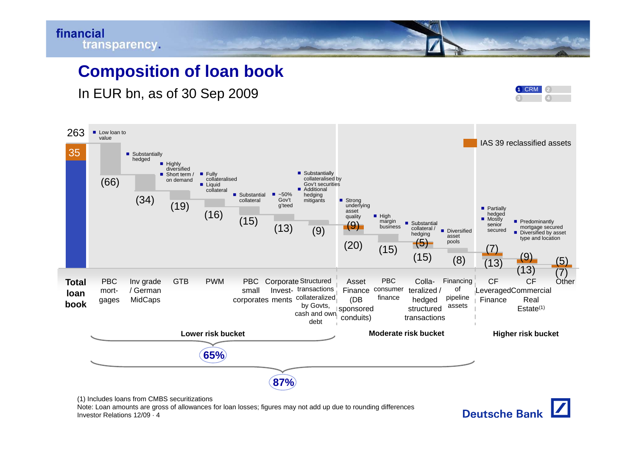

## **Composition of loan book**

In EUR bn, as of 30 Sep 2009 **<sup>1</sup>**



**Deutsche Bank** 



Investor Relations 12/09 · 4Note: Loan amounts are gross of allowances for loan losses; figures may not add up due to rounding differences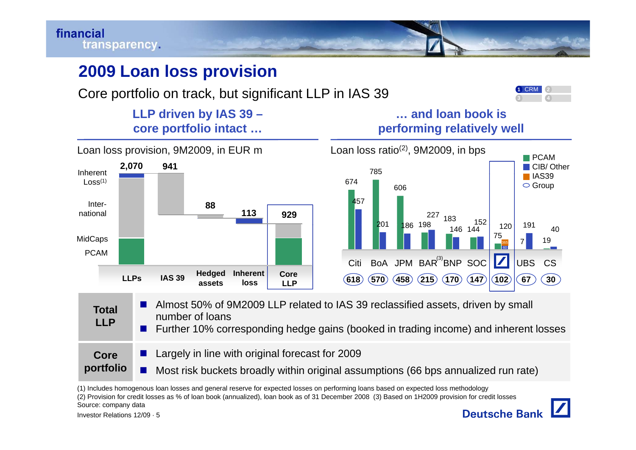

# **2009 Loan loss provision**



Core portfolio on track, but significant LLP in IAS 39

# **LLP driven by IAS 39 – … and loan book is**



| <b>Total</b><br><b>LLP</b> | Almost 50% of 9M2009 LLP related to IAS 39 reclassified assets, driven by small<br>number of loans<br>■ Further 10% corresponding hedge gains (booked in trading income) and inherent losses |
|----------------------------|----------------------------------------------------------------------------------------------------------------------------------------------------------------------------------------------|
| Core                       | Largely in line with original forecast for 2009                                                                                                                                              |
| portfolio                  | Most risk buckets broadly within original assumptions (66 bps annualized run rate)                                                                                                           |

(1) Includes homogenous loan losses and general reserve for expected losses on performing loans based on expected loss methodology

(2) Provision for credit losses as % of loan book (annualized), loan book as of 31 December 2008 (3) Based on 1H2009 provision for credit losses Source: company data

**1**CRM**3**

**2**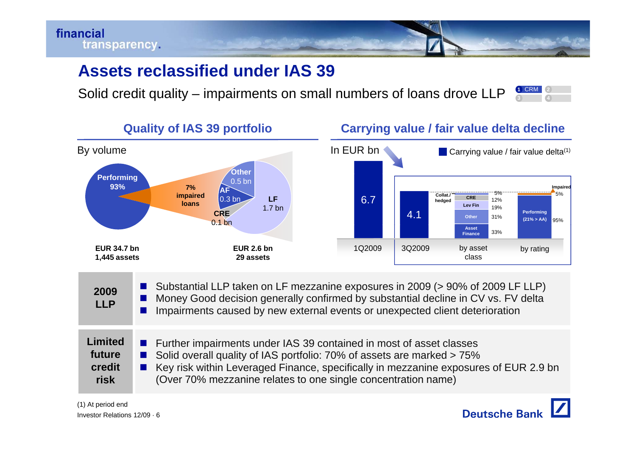

# **Assets reclassified under IAS 39 under**

Solid credit quality – impairments on small numbers of loans drove LLP **3 4 2**



- **College**  Substantial LLP taken on LF mezzanine exposures in 2009 (> 90% of 2009 LF LLP) **2009**
	- × Money Good decision generally confirmed by substantial decline in CV vs. FV delta
	- Π Impairments caused by new external events or unexpected client deterioration

| Limited | Further impairments under IAS 39 contained in most of asset classes    |
|---------|------------------------------------------------------------------------|
| future  | Solid overall quality of IAS portfolio: 70% of assets are marked > 75% |

- Π Solid overall quality of IAS portfolio: 70% of assets are marked > 75%
- $\mathcal{L}_{\mathcal{A}}$  Key risk within Leveraged Finance, specifically in mezzanine exposures of EUR 2.9 bn **k**  $\Box$  (Over 70% mezzanine relates to one single concentration name) **credit risk**

**LLP**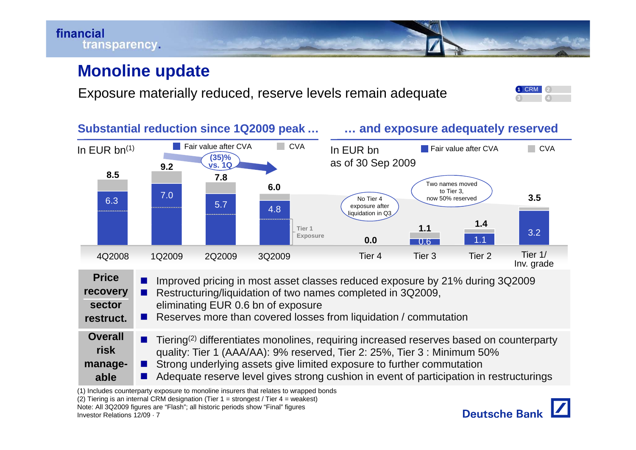

## **Monoline update**

Exposure materially reduced, reserve levels remain adequate





Investor Relations 12/09 · 7(1) Includes counterparty exposure to monoline insurers that relates to wrapped bonds (2) Tiering is an internal CRM designation (Tier  $1 =$  strongest / Tier  $4 =$  weakest) Note: All 3Q2009 figures are "Flash"; all historic periods show "Final" figures

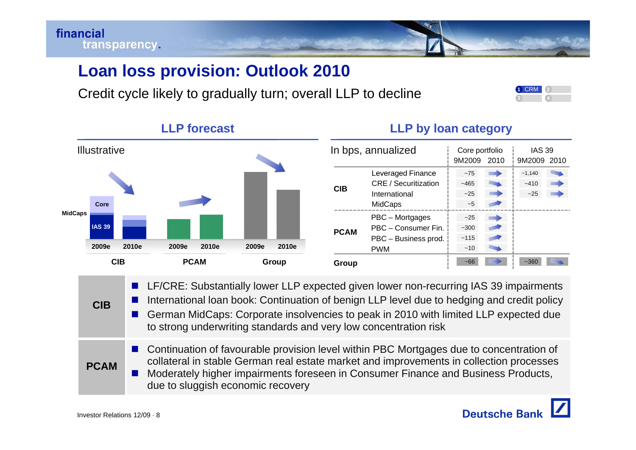# **Loan loss provision: Outlook 2010**

Credit cycle likely to gradually turn; overall LLP to decline

## **LLP forecast**

### **LLP by loan category**



- LF/CRE: Substantially lower LLP expected given lower non-recurring IAS 39 impairments
- Π International loan book: Continuation of benign LLP level due to hedging and credit policy
- $\mathbf{r}$  German MidCaps: Corporate insolvencies to peak in 2010 with limited LLP expected due to strong underwriting standards and very low concentration risk
- **PCAM**ш Continuation of favourable provision level within PBC Mortgages due to concentration of collateral in stable German real estate market and improvements in collection processes Π ■ Moderately higher impairments foreseen in Consumer Finance and Business Products,<br>due to sluggish economic recovery

**CIB**

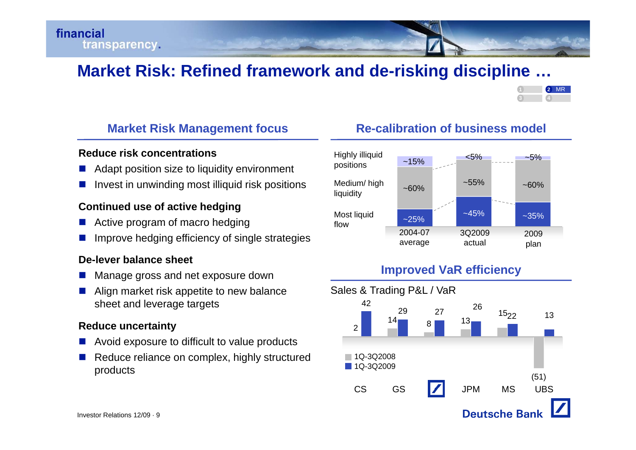# **Market Risk: Refined framework and de -risking discipline risking discipline …**



#### **Reduce risk concentrations**

- $\mathcal{L}^{\mathcal{A}}$ Adapt position size to liquidity environment
- $\mathbb{R}^n$ Invest in unwinding most illiquid risk positions

#### **Continued use of active hedging**

- Π ■ Active program of macro hedging more flow flow and the method of the more and the more and the method of the more and the more and the method of the more and the more and the more and the more and the more and the more
- Π Improve hedging efficiency of single strategies

#### **De-lever balance sheet**

- Π  $\blacksquare$  Manage gross and net exposure down
- Π Align market risk appetite to new balance sheet and leverage targets

#### **Reduce uncertainty**

- $\mathcal{L}^{\mathcal{A}}$ Avoid exposure to difficult to value products
- Π Reduce reliance on complex, highly structured products



## **Improved VaR efficienc y p**



## **Market Risk Management focus Re-calibration of business model**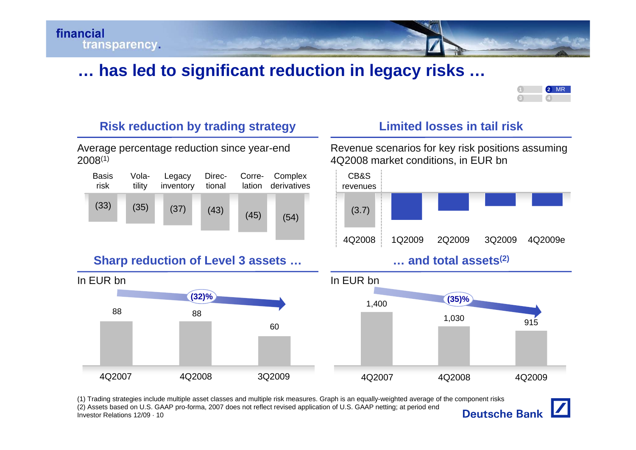

# **… has led to significant reduction in legacy risks risks …**



## Risk reduction by trading strategy L

Average percentage reduction since year-end 2008(1)

| <b>Basis</b><br>risk | Vola-<br>tility | Legacy<br>inventory | Direc-<br>tional |      | Corre- Complex<br>lation derivatives | CB&S<br><b>revenue</b> |
|----------------------|-----------------|---------------------|------------------|------|--------------------------------------|------------------------|
| (33)                 | (35)            | (37)                | (43)             | (45) | (54)                                 | (3.7)                  |
|                      |                 |                     |                  |      |                                      |                        |

### **Sharp reduction of Level 3 assets … … and total assets(2)**



## **Li it d l i t il i kmite losses in ail ris**

Revenue scenarios for key risk positions assuming 4Q2008 market conditions, in EUR bn







(1) Trading strategies include multiple asset classes and multiple risk measures. Graph is an equally-weighted average of the component risks (2) Assets based on U.S. GAAP pro-forma, 2007 does not reflect revised application of U.S. GAAP netting; at period end**Deutsche Bank** Investor Relations 12/09 · 10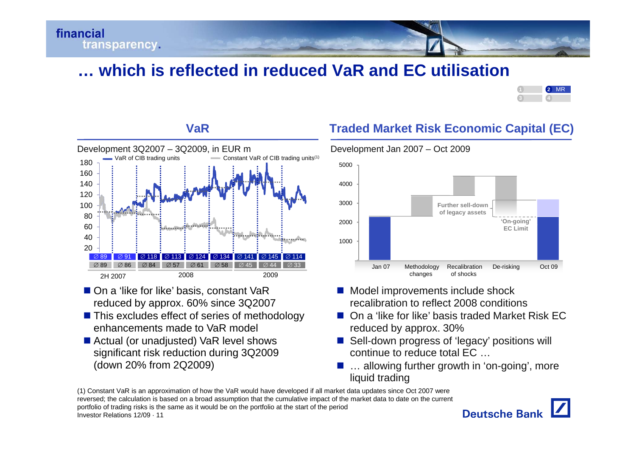

# **… which is reflected in reduced VaR and EC utilisation**



#### 160180U T . . . . . . . . . . . . . 5000 Development  $3Q2007 - 3Q2009$ , in EUR m<br> $\frac{Q}{2Q}$  VaR of CIB trading units  $\frac{Q}{2Q}$  constant \ Constant VaR of CIB trading units<sup>(1)</sup> 6080100120140020402009∅ 113 | ∅ 124 | ∅ 134 Ø 141 Ø ⊘ 145 Ø ⊘ 114  $\varnothing$  61  $\varnothing$  58 Ø  $\varnothing$  45 Ø ⊘ 44 Ø  $\varnothing$  33  $\varnothing$  57 Ø ⊘ 118  $\varnothing$  84 2008Ø ⊘ 91 86 Ø ⊘ 89 ⊘ 89 2H 2007

- On a 'like for like' basis, constant VaR reduced by approx. 60% since 3Q2007
- This excludes effect of series of methodology enhancements made to VaR model a 'like for like' basis, constant VaR<br>
duced by approx. 60% since 3Q2007<br>
is excludes effect of series of methodology<br>
hancements made to VaR model<br>
mancements made to VaR model<br>
mancements made to VaR model
- Actual (or unadjusted) VaR level shows significant risk reduction during 3Q2009 (down 20% from 2Q2009)

## **Traded Market Risk Economic Capital (EC)**



- Model improvements include shock recalibration to reflect 2008 conditions
- On a 'like for like' basis traded Market Risk EC reduced by approx. 30%
- Sell-down progress of 'legacy' positions will continue to reduce total EC …
- ... allowing further growth in 'on-going', more liquid trading

Investor Relations 12/09 · 11(1) Constant VaR is an approximation of how the VaR would have developed if all market data updates since Oct 2007 were reversed; the calculation is based on a broad assumption that the cumulative impact of the market data to date on the current portfolio of trading risks is the same as it would be on the portfolio at the start of the period



#### **VaR**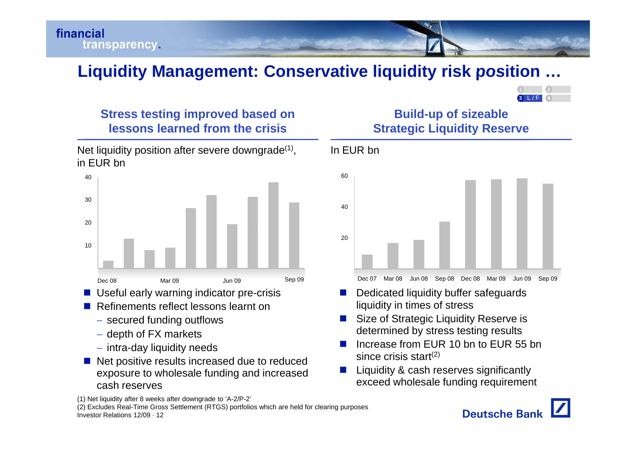financial transparency.

# **Liquidity Management: Conservative liquidity risk position position …**

In EUR bn



## **Stress testing improved based on Build-up of sizeable lessons learned from the crisis**

Net liquidity position after severe downgrade $(1)$ , in EUR bn



- Useful early warning indicator pre-crisis
- Refinements reflect lessons learnt on
	- $-$  secured funding outflows
	- $-$  depth of FX markets
	- $\overline{-}$  intra-day liquidity needs
- Net positive results increased due to reduced ex posure to wholesale fundin g and increased exceed wholesale funding requirement

**Strategic Liquidity Reserve**



- П Dedicated liquidity buffer safeguards liquidity in times of stress
- П Size of Strategic Liquidity Reserve is determined by stress testing results
- П Increase from EUR 10 bn to EUR 55 bn since crisis start $(2)$
- П Liquidity & cash reserves significantly



Investor Relations 12/09 · 12(2) Excludes Real-Time Gross Settlement (RTGS) portfolios which are held for clearing purposes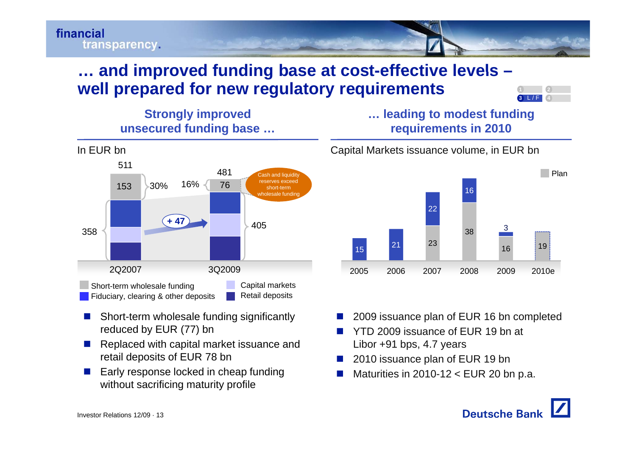

## **… and improved funding base at cost -effective levels effective – well prepared for new regulatory requirements**







- П Short-term wholesale funding significantly reduced by EUR (77) bn
- П Replaced with capital market issuance and retail deposits of EUR 78 bn
- П Early response locked in cheap funding without sacrificing maturity profile

Capital Markets issuance volume, in EUR bn



- П 2009 issuance plan of EUR 16 bn completed
- П YTD 2009 issuance of EUR 19 bn at Libor +91 bps, 4.7 years
- П 2010 issuance plan of EUR 19 bn
- П  $\blacksquare$  Maturities in 2010-12 < EUR 20 bn p.a.



**4**

**2**

**3**3 L/F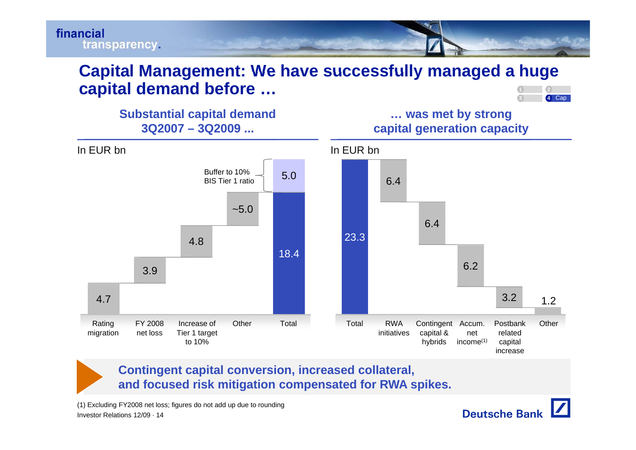

#### **Capital Management: We have successfully managed <sup>a</sup> huge successfully capital demand before … 2**



**Substantial capital demand … was met by strong**  $5.0$  Buffer to 10% **3Q2007 – 3Q2009 ... capital generation capacity** In EUR bn In EUR bn $~5.0$ **BIS Tier 1 ratio**  6.46 43.94.818.423.36.4<br>6.2 4.7<u>2.2 International contract of the contract of the contract of the contract of the contract of the contract of the contract of the contract of the contract of the contract of the contract of the contract of the contract of</u> **Rating** g FY 2008 Increase of Other Total Total RWA Contin gent g Postbank Other migration net loss Tier 1 target to 10%initiativescapital & hybrids netincome(1) related capital increase

### **Contingent capital conversion, increased collateral, and focused risk mitigation compensated for RWA spikes.**

Investor Relations 12/09 · 14(1) Excluding FY2008 net loss; figures do not add up due to rounding

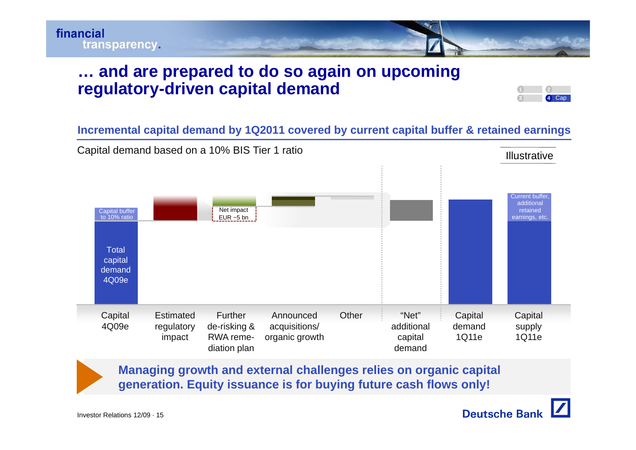

## **and are prepared to do so again on upcoming … regulatory-driven capital demand**

#### **Incremental capital demand by 1Q2011 covered by current capital buffer & retained earnings**



**Managing growth and external challenges relies on organic capital generation. Equity issuance is for buying future cash flows only!**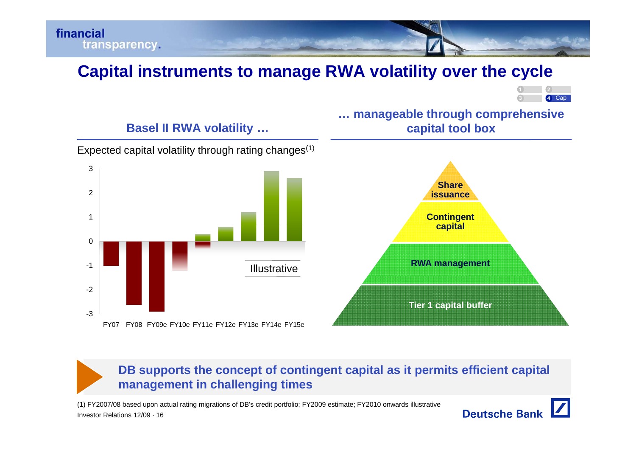

# **Capital instruments to manage RWA volatility over the cycle**



## **… manageable through comprehensive Basel II RWA volatility … capital tool box**





## **DB supports the concept of contingent capital as it permits efficient capital management in challenging times**

Investor Relations 12/09 · 16(1) FY2007/08 based upon actual rating migrations of DB's credit portfolio; FY2009 estimate; FY2010 onwards illustrative

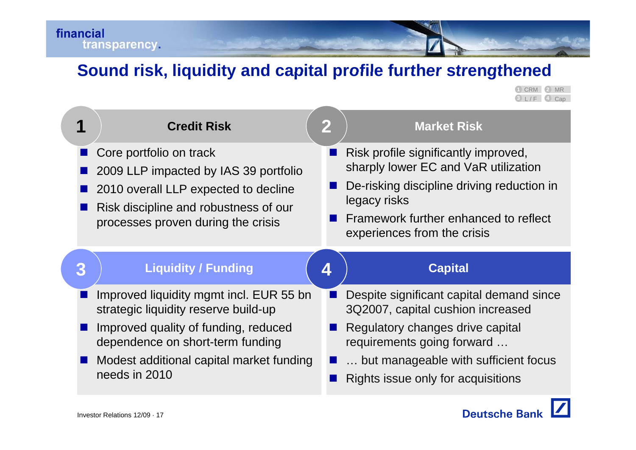# **Sound risk liquidity and capital profile further strengthened risk,**

**4 3** L / F Cap **1 2** 2 MR

|   | <b>Credit Risk</b>                                                                                                                                                                      | $\mathbf 2$ | <b>Market Risk</b>                                                                                                                                                                                                 |
|---|-----------------------------------------------------------------------------------------------------------------------------------------------------------------------------------------|-------------|--------------------------------------------------------------------------------------------------------------------------------------------------------------------------------------------------------------------|
|   | Core portfolio on track<br>2009 LLP impacted by IAS 39 portfolio<br>2010 overall LLP expected to decline<br>Risk discipline and robustness of our<br>processes proven during the crisis |             | Risk profile significantly improved,<br>sharply lower EC and VaR utilization<br>De-risking discipline driving reduction in<br>legacy risks<br>Framework further enhanced to reflect<br>experiences from the crisis |
|   |                                                                                                                                                                                         |             |                                                                                                                                                                                                                    |
| 3 | <b>Liquidity / Funding</b>                                                                                                                                                              | 4           | <b>Capital</b>                                                                                                                                                                                                     |
|   | Improved liquidity mgmt incl. EUR 55 bn<br>strategic liquidity reserve build-up                                                                                                         |             | Despite significant capital demand since<br>3Q2007, capital cushion increased                                                                                                                                      |
|   | Improved quality of funding, reduced<br>dependence on short-term funding                                                                                                                |             | Regulatory changes drive capital<br>requirements going forward                                                                                                                                                     |